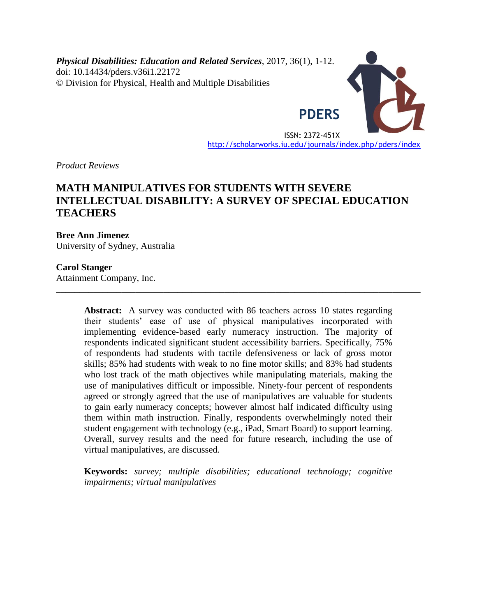*Physical Disabilities: Education and Related Services*, 2017, 36(1), 1-12. doi: 10.14434/pders.v36i1.22172 © Division for Physical, Health and Multiple Disabilities



ISSN: 2372-451X <http://scholarworks.iu.edu/journals/index.php/pders/index>

*Product Reviews*

# **MATH MANIPULATIVES FOR STUDENTS WITH SEVERE INTELLECTUAL DISABILITY: A SURVEY OF SPECIAL EDUCATION TEACHERS**

### **Bree Ann Jimenez**

University of Sydney, Australia

#### **Carol Stanger**

Attainment Company, Inc.

**Abstract:** A survey was conducted with 86 teachers across 10 states regarding their students' ease of use of physical manipulatives incorporated with implementing evidence-based early numeracy instruction. The majority of respondents indicated significant student accessibility barriers. Specifically, 75% of respondents had students with tactile defensiveness or lack of gross motor skills; 85% had students with weak to no fine motor skills; and 83% had students who lost track of the math objectives while manipulating materials, making the use of manipulatives difficult or impossible. Ninety-four percent of respondents agreed or strongly agreed that the use of manipulatives are valuable for students to gain early numeracy concepts; however almost half indicated difficulty using them within math instruction. Finally, respondents overwhelmingly noted their student engagement with technology (e.g., iPad, Smart Board) to support learning. Overall, survey results and the need for future research, including the use of virtual manipulatives, are discussed.

\_\_\_\_\_\_\_\_\_\_\_\_\_\_\_\_\_\_\_\_\_\_\_\_\_\_\_\_\_\_\_\_\_\_\_\_\_\_\_\_\_\_\_\_\_\_\_\_\_\_\_\_\_\_\_\_\_\_\_\_\_\_\_\_\_\_\_\_\_\_\_\_\_\_\_\_\_\_

**Keywords:** *survey; multiple disabilities; educational technology; cognitive impairments; virtual manipulatives*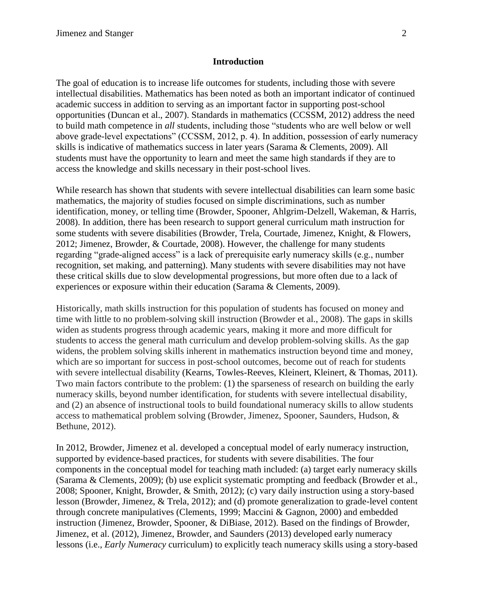#### **Introduction**

The goal of education is to increase life outcomes for students, including those with severe intellectual disabilities. Mathematics has been noted as both an important indicator of continued academic success in addition to serving as an important factor in supporting post-school opportunities (Duncan et al., 2007). Standards in mathematics (CCSSM, 2012) address the need to build math competence in *all* students, including those "students who are well below or well above grade-level expectations" (CCSSM, 2012, p. 4). In addition, possession of early numeracy skills is indicative of mathematics success in later years (Sarama & Clements, 2009). All students must have the opportunity to learn and meet the same high standards if they are to access the knowledge and skills necessary in their post-school lives.

While research has shown that students with severe intellectual disabilities can learn some basic mathematics, the majority of studies focused on simple discriminations, such as number identification, money, or telling time (Browder, Spooner, Ahlgrim-Delzell, Wakeman, & Harris, 2008). In addition, there has been research to support general curriculum math instruction for some students with severe disabilities (Browder, Trela, Courtade, Jimenez, Knight, & Flowers, 2012; Jimenez, Browder, & Courtade, 2008). However, the challenge for many students regarding "grade-aligned access" is a lack of prerequisite early numeracy skills (e.g., number recognition, set making, and patterning). Many students with severe disabilities may not have these critical skills due to slow developmental progressions, but more often due to a lack of experiences or exposure within their education (Sarama & Clements, 2009).

Historically, math skills instruction for this population of students has focused on money and time with little to no problem-solving skill instruction (Browder et al., 2008). The gaps in skills widen as students progress through academic years, making it more and more difficult for students to access the general math curriculum and develop problem-solving skills. As the gap widens, the problem solving skills inherent in mathematics instruction beyond time and money, which are so important for success in post-school outcomes, become out of reach for students with severe intellectual disability (Kearns, Towles-Reeves, Kleinert, Kleinert, & Thomas, 2011). Two main factors contribute to the problem: (1) the sparseness of research on building the early numeracy skills, beyond number identification, for students with severe intellectual disability, and (2) an absence of instructional tools to build foundational numeracy skills to allow students access to mathematical problem solving (Browder, Jimenez, Spooner, Saunders, Hudson, & Bethune, 2012).

In 2012, Browder, Jimenez et al. developed a conceptual model of early numeracy instruction, supported by evidence-based practices, for students with severe disabilities. The four components in the conceptual model for teaching math included: (a) target early numeracy skills (Sarama & Clements, 2009); (b) use explicit systematic prompting and feedback (Browder et al., 2008; Spooner, Knight, Browder, & Smith, 2012); (c) vary daily instruction using a story-based lesson (Browder, Jimenez, & Trela, 2012); and (d) promote generalization to grade-level content through concrete manipulatives (Clements, 1999; Maccini & Gagnon, 2000) and embedded instruction (Jimenez, Browder, Spooner, & DiBiase, 2012). Based on the findings of Browder, Jimenez, et al. (2012), Jimenez, Browder, and Saunders (2013) developed early numeracy lessons (i.e., *Early Numeracy* curriculum) to explicitly teach numeracy skills using a story-based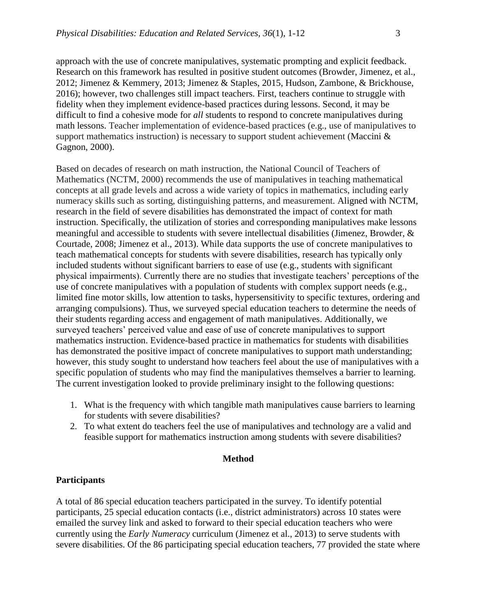approach with the use of concrete manipulatives, systematic prompting and explicit feedback. Research on this framework has resulted in positive student outcomes (Browder, Jimenez, et al., 2012; Jimenez & Kemmery, 2013; Jimenez & Staples, 2015, Hudson, Zambone, & Brickhouse, 2016); however, two challenges still impact teachers. First, teachers continue to struggle with fidelity when they implement evidence-based practices during lessons. Second, it may be difficult to find a cohesive mode for *all* students to respond to concrete manipulatives during math lessons. Teacher implementation of evidence-based practices (e.g., use of manipulatives to support mathematics instruction) is necessary to support student achievement (Maccini & Gagnon, 2000).

Based on decades of research on math instruction, the National Council of Teachers of Mathematics (NCTM, 2000) recommends the use of manipulatives in teaching mathematical concepts at all grade levels and across a wide variety of topics in mathematics, including early numeracy skills such as sorting, distinguishing patterns, and measurement. Aligned with NCTM, research in the field of severe disabilities has demonstrated the impact of context for math instruction. Specifically, the utilization of stories and corresponding manipulatives make lessons meaningful and accessible to students with severe intellectual disabilities (Jimenez, Browder, & Courtade, 2008; Jimenez et al., 2013). While data supports the use of concrete manipulatives to teach mathematical concepts for students with severe disabilities, research has typically only included students without significant barriers to ease of use (e.g., students with significant physical impairments). Currently there are no studies that investigate teachers' perceptions of the use of concrete manipulatives with a population of students with complex support needs (e.g., limited fine motor skills, low attention to tasks, hypersensitivity to specific textures, ordering and arranging compulsions). Thus, we surveyed special education teachers to determine the needs of their students regarding access and engagement of math manipulatives. Additionally, we surveyed teachers' perceived value and ease of use of concrete manipulatives to support mathematics instruction. Evidence-based practice in mathematics for students with disabilities has demonstrated the positive impact of concrete manipulatives to support math understanding; however, this study sought to understand how teachers feel about the use of manipulatives with a specific population of students who may find the manipulatives themselves a barrier to learning. The current investigation looked to provide preliminary insight to the following questions:

- 1. What is the frequency with which tangible math manipulatives cause barriers to learning for students with severe disabilities?
- 2. To what extent do teachers feel the use of manipulatives and technology are a valid and feasible support for mathematics instruction among students with severe disabilities?

### **Method**

# **Participants**

A total of 86 special education teachers participated in the survey. To identify potential participants, 25 special education contacts (i.e., district administrators) across 10 states were emailed the survey link and asked to forward to their special education teachers who were currently using the *Early Numeracy* curriculum (Jimenez et al., 2013) to serve students with severe disabilities. Of the 86 participating special education teachers, 77 provided the state where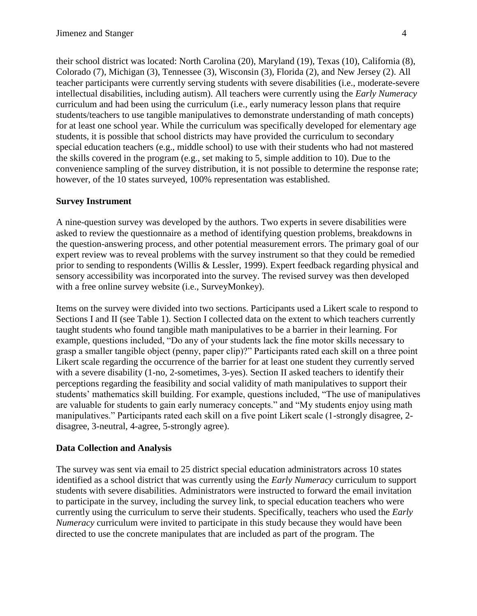their school district was located: North Carolina (20), Maryland (19), Texas (10), California (8), Colorado (7), Michigan (3), Tennessee (3), Wisconsin (3), Florida (2), and New Jersey (2). All teacher participants were currently serving students with severe disabilities (i.e., moderate-severe intellectual disabilities, including autism). All teachers were currently using the *Early Numeracy*  curriculum and had been using the curriculum (i.e., early numeracy lesson plans that require students/teachers to use tangible manipulatives to demonstrate understanding of math concepts) for at least one school year. While the curriculum was specifically developed for elementary age students, it is possible that school districts may have provided the curriculum to secondary special education teachers (e.g., middle school) to use with their students who had not mastered the skills covered in the program (e.g., set making to 5, simple addition to 10). Due to the convenience sampling of the survey distribution, it is not possible to determine the response rate; however, of the 10 states surveyed, 100% representation was established.

# **Survey Instrument**

A nine-question survey was developed by the authors. Two experts in severe disabilities were asked to review the questionnaire as a method of identifying question problems, breakdowns in the question-answering process, and other potential measurement errors. The primary goal of our expert review was to reveal problems with the survey instrument so that they could be remedied prior to sending to respondents (Willis & Lessler, 1999). Expert feedback regarding physical and sensory accessibility was incorporated into the survey. The revised survey was then developed with a free online survey website (i.e., SurveyMonkey).

Items on the survey were divided into two sections. Participants used a Likert scale to respond to Sections I and II (see Table 1). Section I collected data on the extent to which teachers currently taught students who found tangible math manipulatives to be a barrier in their learning. For example, questions included, "Do any of your students lack the fine motor skills necessary to grasp a smaller tangible object (penny, paper clip)?" Participants rated each skill on a three point Likert scale regarding the occurrence of the barrier for at least one student they currently served with a severe disability (1-no, 2-sometimes, 3-yes). Section II asked teachers to identify their perceptions regarding the feasibility and social validity of math manipulatives to support their students' mathematics skill building. For example, questions included, "The use of manipulatives are valuable for students to gain early numeracy concepts." and "My students enjoy using math manipulatives." Participants rated each skill on a five point Likert scale (1-strongly disagree, 2 disagree, 3-neutral, 4-agree, 5-strongly agree).

# **Data Collection and Analysis**

The survey was sent via email to 25 district special education administrators across 10 states identified as a school district that was currently using the *Early Numeracy* curriculum to support students with severe disabilities. Administrators were instructed to forward the email invitation to participate in the survey, including the survey link, to special education teachers who were currently using the curriculum to serve their students. Specifically, teachers who used the *Early Numeracy* curriculum were invited to participate in this study because they would have been directed to use the concrete manipulates that are included as part of the program. The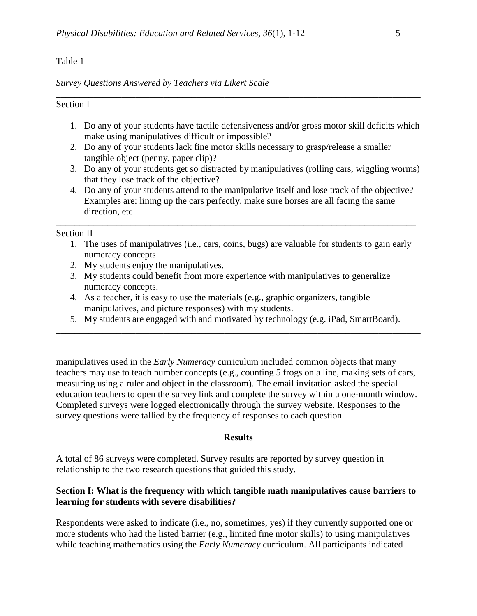### Table 1

#### *Survey Questions Answered by Teachers via Likert Scale*

### Section I

1. Do any of your students have tactile defensiveness and/or gross motor skill deficits which make using manipulatives difficult or impossible?

\_\_\_\_\_\_\_\_\_\_\_\_\_\_\_\_\_\_\_\_\_\_\_\_\_\_\_\_\_\_\_\_\_\_\_\_\_\_\_\_\_\_\_\_\_\_\_\_\_\_\_\_\_\_\_\_\_\_\_\_\_\_\_\_\_\_\_\_\_\_\_\_\_\_\_\_\_\_

- 2. Do any of your students lack fine motor skills necessary to grasp/release a smaller tangible object (penny, paper clip)?
- 3. Do any of your students get so distracted by manipulatives (rolling cars, wiggling worms) that they lose track of the objective?
- 4. Do any of your students attend to the manipulative itself and lose track of the objective? Examples are: lining up the cars perfectly, make sure horses are all facing the same direction, etc.

\_\_\_\_\_\_\_\_\_\_\_\_\_\_\_\_\_\_\_\_\_\_\_\_\_\_\_\_\_\_\_\_\_\_\_\_\_\_\_\_\_\_\_\_\_\_\_\_\_\_\_\_\_\_\_\_\_\_\_\_\_\_\_\_\_\_\_\_\_\_\_\_\_\_\_\_\_

#### Section II

- 1. The uses of manipulatives (i.e., cars, coins, bugs) are valuable for students to gain early numeracy concepts.
- 2. My students enjoy the manipulatives.
- 3. My students could benefit from more experience with manipulatives to generalize numeracy concepts.
- 4. As a teacher, it is easy to use the materials (e.g., graphic organizers, tangible manipulatives, and picture responses) with my students.
- 5. My students are engaged with and motivated by technology (e.g. iPad, SmartBoard). \_\_\_\_\_\_\_\_\_\_\_\_\_\_\_\_\_\_\_\_\_\_\_\_\_\_\_\_\_\_\_\_\_\_\_\_\_\_\_\_\_\_\_\_\_\_\_\_\_\_\_\_\_\_\_\_\_\_\_\_\_\_\_\_\_\_\_\_\_\_\_\_\_\_\_\_\_\_

manipulatives used in the *Early Numeracy* curriculum included common objects that many teachers may use to teach number concepts (e.g., counting 5 frogs on a line, making sets of cars, measuring using a ruler and object in the classroom). The email invitation asked the special education teachers to open the survey link and complete the survey within a one-month window. Completed surveys were logged electronically through the survey website. Responses to the survey questions were tallied by the frequency of responses to each question.

#### **Results**

A total of 86 surveys were completed. Survey results are reported by survey question in relationship to the two research questions that guided this study.

### **Section I: What is the frequency with which tangible math manipulatives cause barriers to learning for students with severe disabilities?**

Respondents were asked to indicate (i.e., no, sometimes, yes) if they currently supported one or more students who had the listed barrier (e.g., limited fine motor skills) to using manipulatives while teaching mathematics using the *Early Numeracy* curriculum. All participants indicated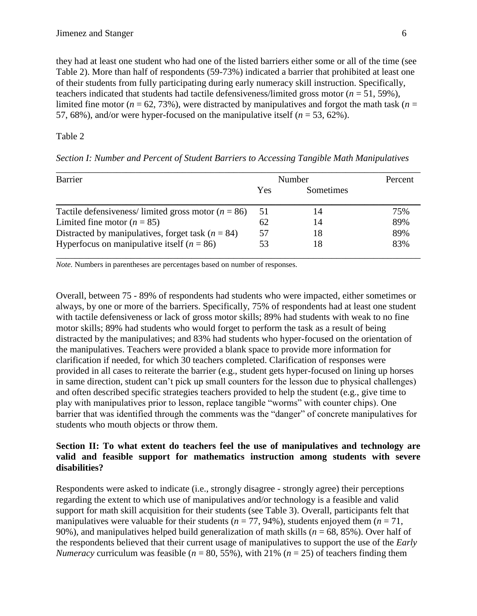they had at least one student who had one of the listed barriers either some or all of the time (see Table 2). More than half of respondents (59-73%) indicated a barrier that prohibited at least one of their students from fully participating during early numeracy skill instruction. Specifically, teachers indicated that students had tactile defensiveness/limited gross motor  $(n = 51, 59\%)$ , limited fine motor ( $n = 62, 73\%$ ), were distracted by manipulatives and forgot the math task ( $n =$ 57, 68%), and/or were hyper-focused on the manipulative itself (*n* = 53, 62%).

## Table 2

| <b>Barrier</b>                                         | Number |                  | Percent |
|--------------------------------------------------------|--------|------------------|---------|
|                                                        | Yes    | <b>Sometimes</b> |         |
| Tactile defensiveness/limited gross motor ( $n = 86$ ) | 51     | 14               | 75%     |
| Limited fine motor ( $n = 85$ )                        | 62     | 14               | 89%     |
| Distracted by manipulatives, forget task ( $n = 84$ )  | 57     | 18               | 89%     |
| Hyperfocus on manipulative itself ( $n = 86$ )         | 53     | 18               | 83%     |

*Section I: Number and Percent of Student Barriers to Accessing Tangible Math Manipulatives*

*Note.* Numbers in parentheses are percentages based on number of responses.

Overall, between 75 - 89% of respondents had students who were impacted, either sometimes or always, by one or more of the barriers. Specifically, 75% of respondents had at least one student with tactile defensiveness or lack of gross motor skills; 89% had students with weak to no fine motor skills; 89% had students who would forget to perform the task as a result of being distracted by the manipulatives; and 83% had students who hyper-focused on the orientation of the manipulatives. Teachers were provided a blank space to provide more information for clarification if needed, for which 30 teachers completed. Clarification of responses were provided in all cases to reiterate the barrier (e.g., student gets hyper-focused on lining up horses in same direction, student can't pick up small counters for the lesson due to physical challenges) and often described specific strategies teachers provided to help the student (e.g., give time to play with manipulatives prior to lesson, replace tangible "worms" with counter chips). One barrier that was identified through the comments was the "danger" of concrete manipulatives for students who mouth objects or throw them.

### **Section II: To what extent do teachers feel the use of manipulatives and technology are valid and feasible support for mathematics instruction among students with severe disabilities?**

Respondents were asked to indicate (i.e., strongly disagree - strongly agree) their perceptions regarding the extent to which use of manipulatives and/or technology is a feasible and valid support for math skill acquisition for their students (see Table 3). Overall, participants felt that manipulatives were valuable for their students ( $n = 77, 94\%$ ), students enjoyed them ( $n = 71$ , 90%), and manipulatives helped build generalization of math skills (*n* = 68, 85%). Over half of the respondents believed that their current usage of manipulatives to support the use of the *Early Numeracy* curriculum was feasible ( $n = 80, 55\%$ ), with 21% ( $n = 25$ ) of teachers finding them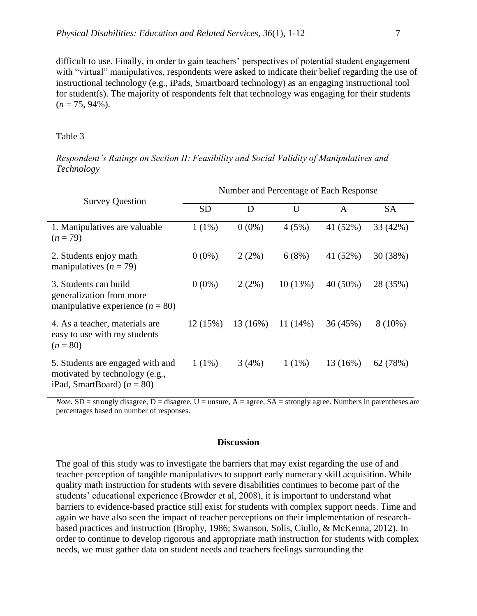difficult to use. Finally, in order to gain teachers' perspectives of potential student engagement with "virtual" manipulatives, respondents were asked to indicate their belief regarding the use of instructional technology (e.g., iPads, Smartboard technology) as an engaging instructional tool for student(s). The majority of respondents felt that technology was engaging for their students  $(n = 75, 94\%)$ .

#### Table 3

| Technology             |                                        |
|------------------------|----------------------------------------|
| <b>Survey Question</b> | Number and Percentage of Each Response |

*Respondent's Ratings on Section II: Feasibility and Social Validity of Manipulatives and* 

| <b>Survey Question</b>                                                                             | rvanion and I creenings of mach response |            |            |            |           |  |
|----------------------------------------------------------------------------------------------------|------------------------------------------|------------|------------|------------|-----------|--|
|                                                                                                    | <b>SD</b>                                | D          | U          | A          | <b>SA</b> |  |
| 1. Manipulatives are valuable<br>$(n=79)$                                                          | $1(1\%)$                                 | $0(0\%)$   | 4(5%)      | 41 (52%)   | 33 (42%)  |  |
| 2. Students enjoy math<br>manipulatives $(n = 79)$                                                 | $0(0\%)$                                 | 2(2%)      | 6(8%)      | 41 (52%)   | 30 (38%)  |  |
| 3. Students can build<br>generalization from more<br>manipulative experience $(n = 80)$            | $0(0\%)$                                 | 2(2%)      | 10(13%)    | $40(50\%)$ | 28 (35%)  |  |
| 4. As a teacher, materials are<br>easy to use with my students<br>$(n = 80)$                       | 12(15%)                                  | $13(16\%)$ | $11(14\%)$ | 36(45%)    | $8(10\%)$ |  |
| 5. Students are engaged with and<br>motivated by technology (e.g.,<br>iPad, SmartBoard) $(n = 80)$ | $1(1\%)$                                 | 3(4%)      | $1(1\%)$   | 13 (16%)   | 62 (78%)  |  |

*Note.* SD = strongly disagree,  $D =$  disagree,  $U =$  unsure,  $A =$  agree,  $SA =$  strongly agree. Numbers in parentheses are percentages based on number of responses.

#### **Discussion**

The goal of this study was to investigate the barriers that may exist regarding the use of and teacher perception of tangible manipulatives to support early numeracy skill acquisition. While quality math instruction for students with severe disabilities continues to become part of the students' educational experience (Browder et al, 2008), it is important to understand what barriers to evidence-based practice still exist for students with complex support needs. Time and again we have also seen the impact of teacher perceptions on their implementation of researchbased practices and instruction (Brophy, 1986; Swanson, Solis, Ciullo, & McKenna, 2012). In order to continue to develop rigorous and appropriate math instruction for students with complex needs, we must gather data on student needs and teachers feelings surrounding the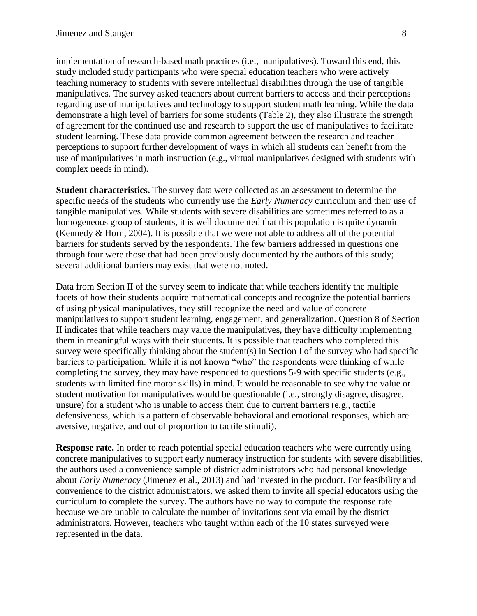implementation of research-based math practices (i.e., manipulatives). Toward this end, this study included study participants who were special education teachers who were actively teaching numeracy to students with severe intellectual disabilities through the use of tangible manipulatives. The survey asked teachers about current barriers to access and their perceptions regarding use of manipulatives and technology to support student math learning. While the data demonstrate a high level of barriers for some students (Table 2), they also illustrate the strength of agreement for the continued use and research to support the use of manipulatives to facilitate student learning. These data provide common agreement between the research and teacher perceptions to support further development of ways in which all students can benefit from the use of manipulatives in math instruction (e.g., virtual manipulatives designed with students with complex needs in mind).

**Student characteristics.** The survey data were collected as an assessment to determine the specific needs of the students who currently use the *Early Numeracy* curriculum and their use of tangible manipulatives. While students with severe disabilities are sometimes referred to as a homogeneous group of students, it is well documented that this population is quite dynamic (Kennedy & Horn, 2004). It is possible that we were not able to address all of the potential barriers for students served by the respondents. The few barriers addressed in questions one through four were those that had been previously documented by the authors of this study; several additional barriers may exist that were not noted.

Data from Section II of the survey seem to indicate that while teachers identify the multiple facets of how their students acquire mathematical concepts and recognize the potential barriers of using physical manipulatives, they still recognize the need and value of concrete manipulatives to support student learning, engagement, and generalization. Question 8 of Section II indicates that while teachers may value the manipulatives, they have difficulty implementing them in meaningful ways with their students. It is possible that teachers who completed this survey were specifically thinking about the student(s) in Section I of the survey who had specific barriers to participation. While it is not known "who" the respondents were thinking of while completing the survey, they may have responded to questions 5-9 with specific students (e.g., students with limited fine motor skills) in mind. It would be reasonable to see why the value or student motivation for manipulatives would be questionable (i.e., strongly disagree, disagree, unsure) for a student who is unable to access them due to current barriers (e.g., tactile defensiveness, which is a pattern of observable behavioral and emotional responses, which are aversive, negative, and out of proportion to tactile stimuli).

**Response rate.** In order to reach potential special education teachers who were currently using concrete manipulatives to support early numeracy instruction for students with severe disabilities, the authors used a convenience sample of district administrators who had personal knowledge about *Early Numeracy* (Jimenez et al., 2013) and had invested in the product. For feasibility and convenience to the district administrators, we asked them to invite all special educators using the curriculum to complete the survey. The authors have no way to compute the response rate because we are unable to calculate the number of invitations sent via email by the district administrators. However, teachers who taught within each of the 10 states surveyed were represented in the data.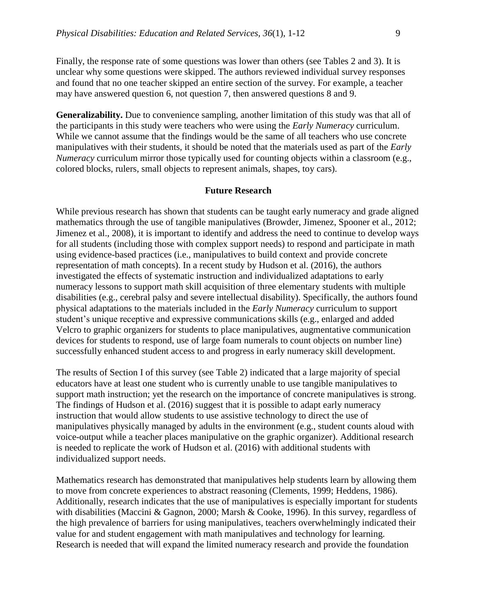Finally, the response rate of some questions was lower than others (see Tables 2 and 3). It is unclear why some questions were skipped. The authors reviewed individual survey responses and found that no one teacher skipped an entire section of the survey. For example, a teacher may have answered question 6, not question 7, then answered questions 8 and 9.

**Generalizability.** Due to convenience sampling, another limitation of this study was that all of the participants in this study were teachers who were using the *Early Numeracy* curriculum. While we cannot assume that the findings would be the same of all teachers who use concrete manipulatives with their students, it should be noted that the materials used as part of the *Early Numeracy* curriculum mirror those typically used for counting objects within a classroom (e.g., colored blocks, rulers, small objects to represent animals, shapes, toy cars).

#### **Future Research**

While previous research has shown that students can be taught early numeracy and grade aligned mathematics through the use of tangible manipulatives (Browder, Jimenez, Spooner et al., 2012; Jimenez et al., 2008), it is important to identify and address the need to continue to develop ways for all students (including those with complex support needs) to respond and participate in math using evidence-based practices (i.e., manipulatives to build context and provide concrete representation of math concepts). In a recent study by Hudson et al. (2016), the authors investigated the effects of systematic instruction and individualized adaptations to early numeracy lessons to support math skill acquisition of three elementary students with multiple disabilities (e.g., cerebral palsy and severe intellectual disability). Specifically, the authors found physical adaptations to the materials included in the *Early Numeracy* curriculum to support student's unique receptive and expressive communications skills (e.g., enlarged and added Velcro to graphic organizers for students to place manipulatives, augmentative communication devices for students to respond, use of large foam numerals to count objects on number line) successfully enhanced student access to and progress in early numeracy skill development.

The results of Section I of this survey (see Table 2) indicated that a large majority of special educators have at least one student who is currently unable to use tangible manipulatives to support math instruction; yet the research on the importance of concrete manipulatives is strong. The findings of Hudson et al. (2016) suggest that it is possible to adapt early numeracy instruction that would allow students to use assistive technology to direct the use of manipulatives physically managed by adults in the environment (e.g., student counts aloud with voice-output while a teacher places manipulative on the graphic organizer). Additional research is needed to replicate the work of Hudson et al. (2016) with additional students with individualized support needs.

Mathematics research has demonstrated that manipulatives help students learn by allowing them to move from concrete experiences to abstract reasoning (Clements, 1999; Heddens, 1986). Additionally, research indicates that the use of manipulatives is especially important for students with disabilities (Maccini & Gagnon, 2000; Marsh & Cooke, 1996). In this survey, regardless of the high prevalence of barriers for using manipulatives, teachers overwhelmingly indicated their value for and student engagement with math manipulatives and technology for learning. Research is needed that will expand the limited numeracy research and provide the foundation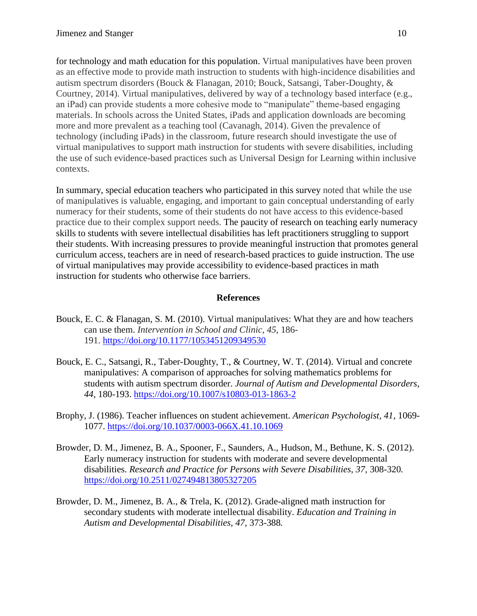for technology and math education for this population. Virtual manipulatives have been proven as an effective mode to provide math instruction to students with high-incidence disabilities and autism spectrum disorders (Bouck & Flanagan, 2010; Bouck, Satsangi, Taber-Doughty, & Courtney, 2014). Virtual manipulatives, delivered by way of a technology based interface (e.g., an iPad) can provide students a more cohesive mode to "manipulate" theme-based engaging materials. In schools across the United States, iPads and application downloads are becoming more and more prevalent as a teaching tool (Cavanagh, 2014). Given the prevalence of technology (including iPads) in the classroom, future research should investigate the use of virtual manipulatives to support math instruction for students with severe disabilities, including the use of such evidence-based practices such as Universal Design for Learning within inclusive contexts.

In summary, special education teachers who participated in this survey noted that while the use of manipulatives is valuable, engaging, and important to gain conceptual understanding of early numeracy for their students, some of their students do not have access to this evidence-based practice due to their complex support needs. The paucity of research on teaching early numeracy skills to students with severe intellectual disabilities has left practitioners struggling to support their students. With increasing pressures to provide meaningful instruction that promotes general curriculum access, teachers are in need of research-based practices to guide instruction. The use of virtual manipulatives may provide accessibility to evidence-based practices in math instruction for students who otherwise face barriers.

### **References**

- Bouck, E. C. & Flanagan, S. M. (2010). Virtual manipulatives: What they are and how teachers can use them. *Intervention in School and Clinic, 45*, 186- 191. <https://doi.org/10.1177/1053451209349530>
- Bouck, E. C., Satsangi, R., Taber-Doughty, T., & Courtney, W. T. (2014). Virtual and concrete manipulatives: A comparison of approaches for solving mathematics problems for students with autism spectrum disorder. *Journal of Autism and Developmental Disorders, 44*, 180-193.<https://doi.org/10.1007/s10803-013-1863-2>
- Brophy, J. (1986). Teacher influences on student achievement. *American Psychologist, 41*, 1069- 1077.<https://doi.org/10.1037/0003-066X.41.10.1069>
- Browder, D. M., Jimenez, B. A., Spooner, F., Saunders, A., Hudson, M., Bethune, K. S. (2012). Early numeracy instruction for students with moderate and severe developmental disabilities. *Research and Practice for Persons with Severe Disabilities, 37,* 308-320*.* <https://doi.org/10.2511/027494813805327205>
- Browder, D. M., Jimenez, B. A., & Trela, K. (2012). Grade-aligned math instruction for secondary students with moderate intellectual disability. *Education and Training in Autism and Developmental Disabilities, 47,* 373-388*.*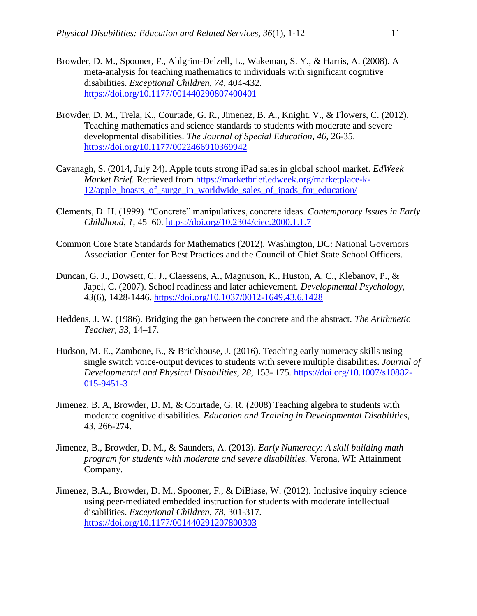- Browder, D. M., Spooner, F., Ahlgrim-Delzell, L., Wakeman, S. Y., & Harris, A. (2008). A meta-analysis for teaching mathematics to individuals with significant cognitive disabilities. *Exceptional Children*, *74*, 404-432. <https://doi.org/10.1177/001440290807400401>
- Browder, D. M., Trela, K., Courtade, G. R., Jimenez, B. A., Knight. V., & Flowers, C. (2012). Teaching mathematics and science standards to students with moderate and severe developmental disabilities. *The Journal of Special Education, 46,* 26-35. <https://doi.org/10.1177/0022466910369942>
- Cavanagh, S. (2014, July 24). Apple touts strong iPad sales in global school market. *EdWeek Market Brief.* Retrieved from [https://marketbrief.edweek.org/marketplace-k-](https://marketbrief.edweek.org/marketplace-k-12/apple_boasts_of_surge_in_worldwide_sales_of_ipads_for_education/)12/apple boasts of surge in worldwide sales of ipads for education/
- Clements, D. H. (1999). "Concrete" manipulatives, concrete ideas. *Contemporary Issues in Early Childhood, 1*, 45–60.<https://doi.org/10.2304/ciec.2000.1.1.7>
- Common Core State Standards for Mathematics (2012). Washington, DC: National Governors Association Center for Best Practices and the Council of Chief State School Officers.
- Duncan, G. J., Dowsett, C. J., Claessens, A., Magnuson, K., Huston, A. C., Klebanov, P., & Japel, C. (2007). School readiness and later achievement. *Developmental Psychology, 43*(6), 1428-1446.<https://doi.org/10.1037/0012-1649.43.6.1428>
- Heddens, J. W. (1986). Bridging the gap between the concrete and the abstract. *The Arithmetic Teacher, 33*, 14–17.
- Hudson, M. E., Zambone, E., & Brickhouse, J. (2016). Teaching early numeracy skills using single switch voice-output devices to students with severe multiple disabilities. *Journal of Developmental and Physical Disabilities, 28,* 153- 175*.* [https://doi.org/10.1007/s10882-](https://doi.org/10.1007/s10882-015-9451-3) [015-9451-3](https://doi.org/10.1007/s10882-015-9451-3)
- Jimenez, B. A, Browder, D. M, & Courtade, G. R. (2008) Teaching algebra to students with moderate cognitive disabilities. *Education and Training in Developmental Disabilities*, *43*, 266-274.
- Jimenez, B., Browder, D. M., & Saunders, A. (2013). *Early Numeracy: A skill building math program for students with moderate and severe disabilities.* Verona, WI: Attainment Company.
- Jimenez, B.A., Browder, D. M., Spooner, F., & DiBiase, W. (2012). Inclusive inquiry science using peer-mediated embedded instruction for students with moderate intellectual disabilities. *Exceptional Children, 78,* 301-317*.* <https://doi.org/10.1177/001440291207800303>